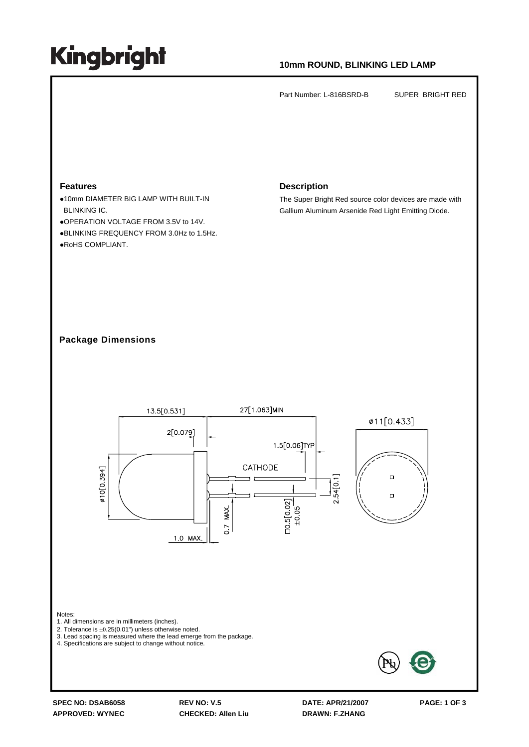## **Kingbright**

### **10mm ROUND, BLINKING LED LAMP**

Part Number: L-816BSRD-B SUPER BRIGHT RED

#### **Features**

**.10mm DIAMETER BIG LAMP WITH BUILT-IN** BLINKING IC.

zOPERATION VOLTAGE FROM 3.5V to 14V. **.BLINKING FREQUENCY FROM 3.0Hz to 1.5Hz.** ·RoHS COMPLIANT.

#### **Description**

The Super Bright Red source color devices are made with Gallium Aluminum Arsenide Red Light Emitting Diode.

### **Package Dimensions**



**SPEC NO: DSAB6058 REV NO: V.5 DATE: APR/21/2007 PAGE: 1 OF 3 APPROVED: WYNEC CHECKED: Allen Liu DRAWN: F.ZHANG**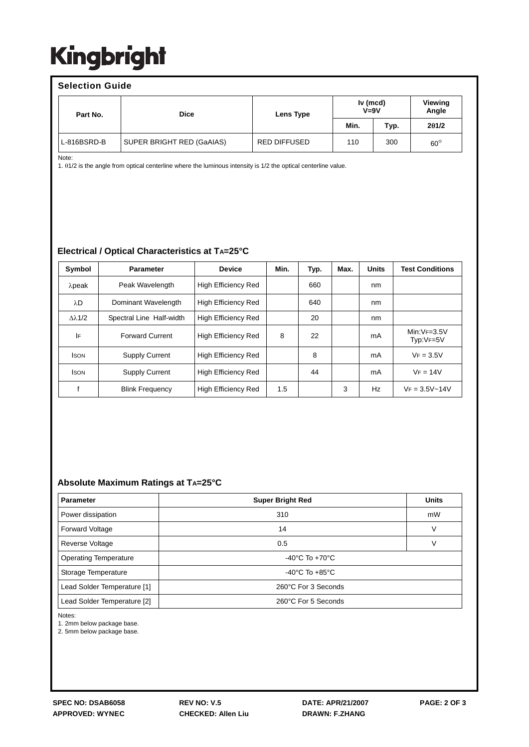## **Kingbright**

| <b>Selection Guide</b> |                           |                     |                      |      |                  |  |  |  |
|------------------------|---------------------------|---------------------|----------------------|------|------------------|--|--|--|
| Part No.               | <b>Dice</b>               | Lens Type           | Iv (mcd)<br>$V = 9V$ |      | Viewing<br>Angle |  |  |  |
|                        |                           |                     | Min.                 | Typ. | 201/2            |  |  |  |
| L-816BSRD-B            | SUPER BRIGHT RED (GaAIAS) | <b>RED DIFFUSED</b> | 110                  | 300  | $60^{\circ}$     |  |  |  |

Note:

1. θ1/2 is the angle from optical centerline where the luminous intensity is 1/2 the optical centerline value.

### **Electrical / Optical Characteristics at TA=25°C**

| Symbol               | <b>Parameter</b>         | <b>Device</b>              | Min. | Typ. | Max. | <b>Units</b> | <b>Test Conditions</b>     |
|----------------------|--------------------------|----------------------------|------|------|------|--------------|----------------------------|
| $λ$ peak             | Peak Wavelength          | <b>High Efficiency Red</b> |      | 660  |      | nm           |                            |
| λD                   | Dominant Wavelength      | <b>High Efficiency Red</b> |      | 640  |      | nm           |                            |
| $\Delta \lambda$ 1/2 | Spectral Line Half-width | <b>High Efficiency Red</b> |      | 20   |      | nm           |                            |
| IF                   | <b>Forward Current</b>   | <b>High Efficiency Red</b> | 8    | 22   |      | mA           | $Min:VF=3.5V$<br>Typ:VF=5V |
| <b>ISON</b>          | <b>Supply Current</b>    | <b>High Efficiency Red</b> |      | 8    |      | mA           | $VF = 3.5V$                |
| <b>ISON</b>          | <b>Supply Current</b>    | <b>High Efficiency Red</b> |      | 44   |      | mA           | $VF = 14V$                 |
|                      | <b>Blink Frequency</b>   | <b>High Efficiency Red</b> | 1.5  |      | 3    | Hz           | $VF = 3.5V - 14V$          |

### **Absolute Maximum Ratings at TA=25°C**

| <b>Parameter</b>             | <b>Super Bright Red</b>            | <b>Units</b> |  |  |  |
|------------------------------|------------------------------------|--------------|--|--|--|
| Power dissipation            | 310                                |              |  |  |  |
| <b>Forward Voltage</b>       | 14                                 | V            |  |  |  |
| Reverse Voltage              | 0.5                                | V            |  |  |  |
| <b>Operating Temperature</b> | $-40^{\circ}$ C To $+70^{\circ}$ C |              |  |  |  |
| Storage Temperature          | -40°C To +85°C                     |              |  |  |  |
| Lead Solder Temperature [1]  | 260°C For 3 Seconds                |              |  |  |  |
| Lead Solder Temperature [2]  | 260°C For 5 Seconds                |              |  |  |  |

Notes:

1. 2mm below package base.

2. 5mm below package base.